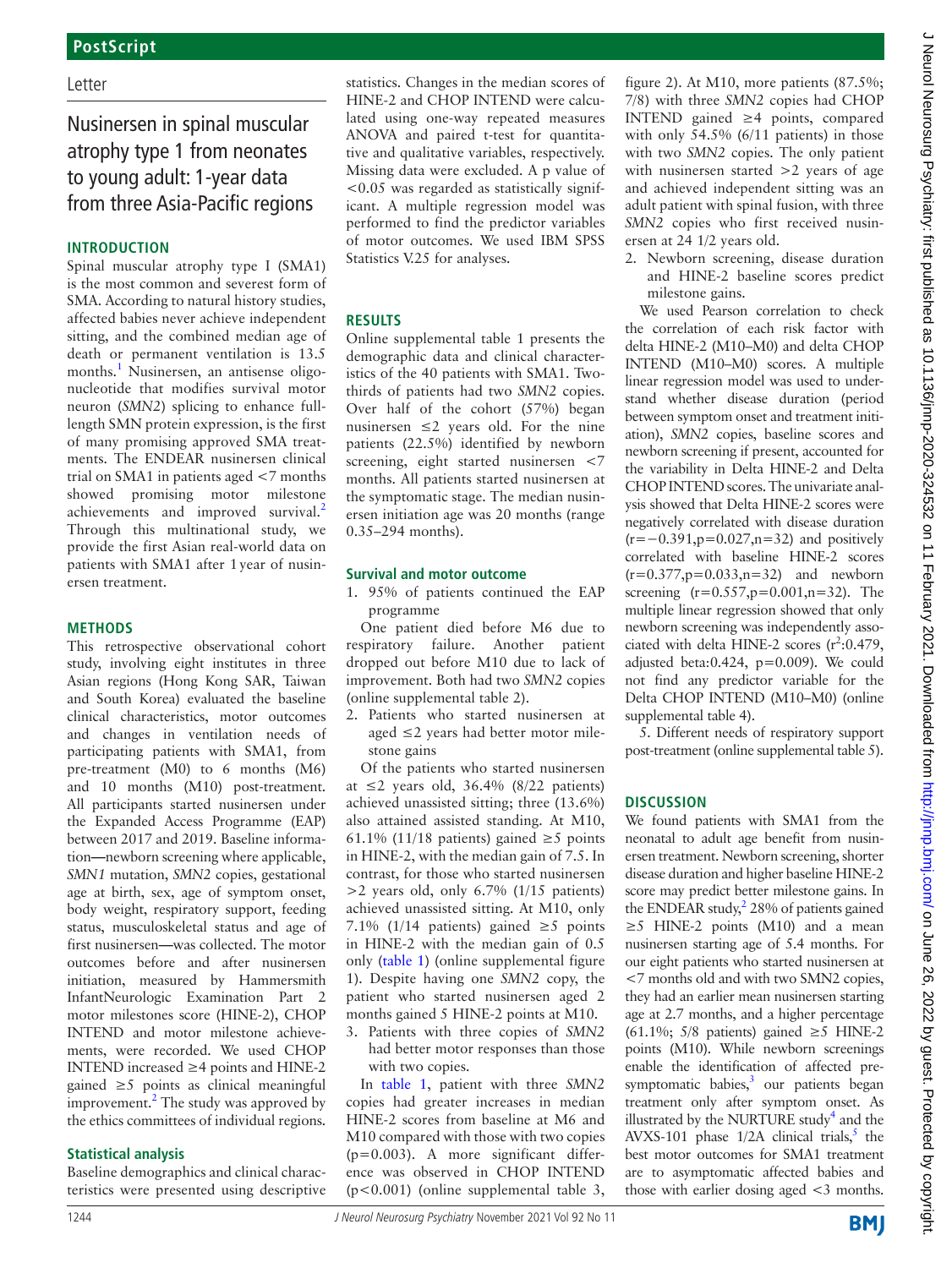### Letter

# Nusinersen in spinal muscular atrophy type 1 from neonates to young adult: 1-year data from three Asia-Pacific regions

### **INTRODUCTION**

Spinal muscular atrophy type I (SMA1) is the most common and severest form of SMA. According to natural history studies, affected babies never achieve independent sitting, and the combined median age of death or permanent ventilation is 13.5 months.<sup>[1](#page-2-0)</sup> Nusinersen, an antisense oligonucleotide that modifies survival motor neuron (*SMN2*) splicing to enhance fulllength SMN protein expression, is the first of many promising approved SMA treatments. The ENDEAR nusinersen clinical trial on SMA1 in patients aged <7 months showed promising motor milestone achievements and improved survival.<sup>[2](#page-2-1)</sup> Through this multinational study, we provide the first Asian real-world data on patients with SMA1 after 1year of nusinersen treatment.

### **METHODS**

This retrospective observational cohort study, involving eight institutes in three Asian regions (Hong Kong SAR, Taiwan and South Korea) evaluated the baseline clinical characteristics, motor outcomes and changes in ventilation needs of participating patients with SMA1, from pre-treatment (M0) to 6 months (M6) and 10 months (M10) post-treatment. All participants started nusinersen under the Expanded Access Programme (EAP) between 2017 and 2019. Baseline information**—**newborn screening where applicable, *SMN1* mutation, *SMN2* copies, gestational age at birth, sex, age of symptom onset, body weight, respiratory support, feeding status, musculoskeletal status and age of first nusinersen**—**was collected. The motor outcomes before and after nusinersen initiation, measured by Hammersmith InfantNeurologic Examination Part 2 motor milestones score (HINE-2), CHOP INTEND and motor milestone achievements, were recorded. We used CHOP INTEND increased ≥4 points and HINE-2 gained ≥5 points as clinical meaningful improvement.<sup>2</sup> The study was approved by the ethics committees of individual regions.

### **Statistical analysis**

Baseline demographics and clinical characteristics were presented using descriptive statistics. Changes in the median scores of HINE-2 and CHOP INTEND were calculated using one-way repeated measures ANOVA and paired t-test for quantitative and qualitative variables, respectively. Missing data were excluded. A p value of  $< 0.05$  was regarded as statistically significant. A multiple regression model was performed to find the predictor variables of motor outcomes. We used IBM SPSS Statistics V.25 for analyses.

## **RESULTS**

[Online supplemental table 1](https://dx.doi.org/10.1136/jnnp-2020-324532) presents the demographic data and clinical characteristics of the 40 patients with SMA1. Twothirds of patients had two *SMN2* copies. Over half of the cohort (57%) began nusinersen  $\leq 2$  years old. For the nine patients (22.5%) identified by newborn screening, eight started nusinersen <7 months. All patients started nusinersen at the symptomatic stage. The median nusinersen initiation age was 20 months (range 0.35–294 months).

#### **Survival and motor outcome**

1. 95% of patients continued the EAP programme

One patient died before M6 due to respiratory failure. Another patient dropped out before M10 due to lack of improvement. Both had two *SMN2* copies ([online supplemental table 2](https://dx.doi.org/10.1136/jnnp-2020-324532)).

2. Patients who started nusinersen at aged ≤2 years had better motor milestone gains

Of the patients who started nusinersen at ≤2 years old, 36.4% (8/22 patients) achieved unassisted sitting; three (13.6%) also attained assisted standing. At M10, 61.1% (11/18 patients) gained  $\geq$ 5 points in HINE-2, with the median gain of 7.5. In contrast, for those who started nusinersen >2 years old, only 6.7% (1/15 patients) achieved unassisted sitting. At M10, only 7.1% (1/14 patients) gained  $\geq$ 5 points in HINE-2 with the median gain of 0.5 only [\(table](#page-1-0) 1) ([online supplemental figure](https://dx.doi.org/10.1136/jnnp-2020-324532)  [1\)](https://dx.doi.org/10.1136/jnnp-2020-324532). Despite having one *SMN2* copy, the patient who started nusinersen aged 2 months gained 5 HINE-2 points at M10.

3. Patients with three copies of *SMN2* had better motor responses than those with two copies.

In [table](#page-1-0) 1, patient with three *SMN2* copies had greater increases in median HINE-2 scores from baseline at M6 and M10 compared with those with two copies  $(p=0.003)$ . A more significant difference was observed in CHOP INTEND (p<0.001) ([online supplemental table 3,](https://dx.doi.org/10.1136/jnnp-2020-324532)  [figure 2\)](https://dx.doi.org/10.1136/jnnp-2020-324532). At M10, more patients (87.5%; 7/8) with three *SMN2* copies had CHOP INTEND gained ≥4 points, compared with only 54.5% (6/11 patients) in those with two *SMN2* copies. The only patient with nusinersen started  $>2$  years of age and achieved independent sitting was an adult patient with spinal fusion, with three *SMN2* copies who first received nusinersen at 24 1/2 years old.

2. Newborn screening, disease duration and HINE-2 baseline scores predict milestone gains.

We used Pearson correlation to check the correlation of each risk factor with delta HINE-2 (M10–M0) and delta CHOP INTEND (M10–M0) scores. A multiple linear regression model was used to understand whether disease duration (period between symptom onset and treatment initiation), *SMN2* copies, baseline scores and newborn screening if present, accounted for the variability in Delta HINE-2 and Delta CHOP INTEND scores. The univariate analysis showed that Delta HINE-2 scores were negatively correlated with disease duration (r=−0.391,p=0.027,n=32) and positively correlated with baseline HINE-2 scores  $(r=0.377, p=0.033, n=32)$  and newborn screening  $(r=0.557, p=0.001, n=32)$ . The multiple linear regression showed that only newborn screening was independently associated with delta HINE-2 scores  $(r^2:0.479,$ adjusted beta:0.424, p=0.009). We could not find any predictor variable for the Delta CHOP INTEND (M10–M0) [\(online](https://dx.doi.org/10.1136/jnnp-2020-324532) [supplemental table 4](https://dx.doi.org/10.1136/jnnp-2020-324532)).

5. Different needs of respiratory support post-treatment [\(online supplemental table 5](https://dx.doi.org/10.1136/jnnp-2020-324532)).

## **DISCUSSION**

We found patients with SMA1 from the neonatal to adult age benefit from nusinersen treatment. Newborn screening, shorter disease duration and higher baseline HINE-2 score may predict better milestone gains. In the ENDEAR study, $228\%$  of patients gained  $\geq$ 5 HINE-2 points (M10) and a mean nusinersen starting age of 5.4 months. For our eight patients who started nusinersen at <7 months old and with two SMN2 copies, they had an earlier mean nusinersen starting age at 2.7 months, and a higher percentage (61.1%; 5/8 patients) gained  $\geq$ 5 HINE-2 points (M10). While newborn screenings enable the identification of affected presymptomatic babies, $3$  our patients began treatment only after symptom onset. As illustrated by the NURTURE study<sup>[4](#page-2-3)</sup> and the AVXS-101 phase  $1/2A$  clinical trials,<sup>[5](#page-2-4)</sup> the best motor outcomes for SMA1 treatment are to asymptomatic affected babies and those with earlier dosing aged <3 months.

**BMJ**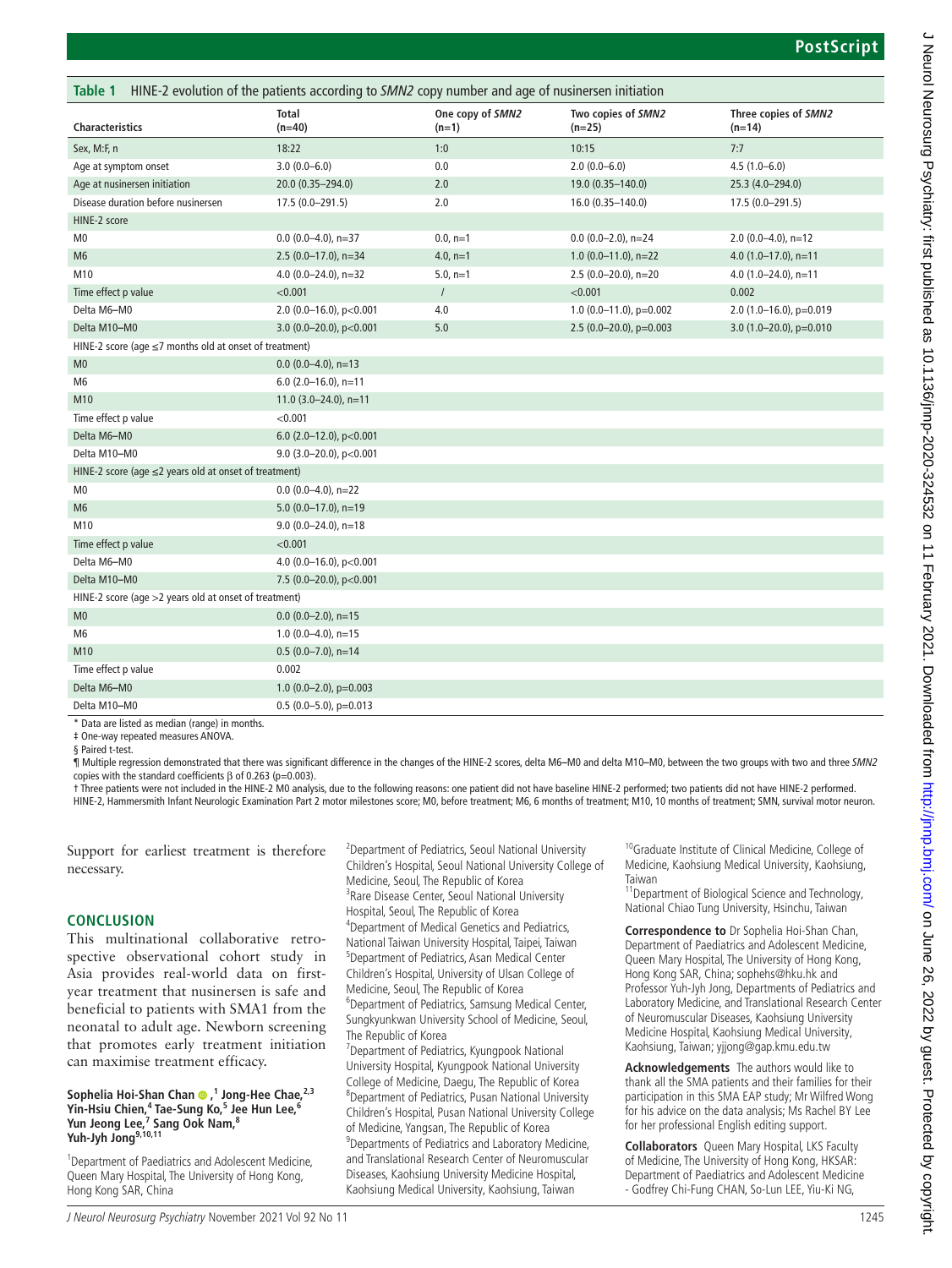<span id="page-1-0"></span>

| HINE-2 evolution of the patients according to SMN2 copy number and age of nusinersen initiation<br>Table 1 |                             |                             |                                |                                  |
|------------------------------------------------------------------------------------------------------------|-----------------------------|-----------------------------|--------------------------------|----------------------------------|
| <b>Characteristics</b>                                                                                     | <b>Total</b><br>$(n=40)$    | One copy of SMN2<br>$(n=1)$ | Two copies of SMN2<br>$(n=25)$ | Three copies of SMN2<br>$(n=14)$ |
| Sex, M:F, n                                                                                                | 18:22                       | 1:0                         | 10:15                          | 7:7                              |
| Age at symptom onset                                                                                       | $3.0(0.0 - 6.0)$            | 0.0                         | $2.0(0.0-6.0)$                 | $4.5(1.0-6.0)$                   |
| Age at nusinersen initiation                                                                               | 20.0 (0.35-294.0)           | 2.0                         | 19.0 (0.35-140.0)              | 25.3 (4.0-294.0)                 |
| Disease duration before nusinersen                                                                         | 17.5 (0.0-291.5)            | 2.0                         | 16.0 (0.35-140.0)              | 17.5 (0.0-291.5)                 |
| HINE-2 score                                                                                               |                             |                             |                                |                                  |
| M <sub>0</sub>                                                                                             | $0.0$ (0.0-4.0), n=37       | $0.0, n=1$                  | $0.0$ (0.0-2.0), n=24          | $2.0(0.0-4.0)$ , n=12            |
| M <sub>6</sub>                                                                                             | $2.5(0.0-17.0)$ , n=34      | 4.0, $n=1$                  | $1.0(0.0-11.0)$ , n=22         | 4.0 $(1.0-17.0)$ , n=11          |
| M10                                                                                                        | 4.0 $(0.0 - 24.0)$ , n=32   | $5.0, n=1$                  | 2.5 (0.0-20.0), n=20           | 4.0 $(1.0 - 24.0)$ , n=11        |
| Time effect p value                                                                                        | < 0.001                     | $\sqrt{ }$                  | < 0.001                        | 0.002                            |
| Delta M6-M0                                                                                                | 2.0 (0.0-16.0), $p<0.001$   | 4.0                         | 1.0 $(0.0-11.0)$ , p=0.002     | 2.0 (1.0-16.0), p=0.019          |
| Delta M10-M0                                                                                               | 3.0 (0.0-20.0), $p<0.001$   | 5.0                         | 2.5 $(0.0-20.0)$ , p=0.003     | 3.0 $(1.0-20.0)$ , p=0.010       |
| HINE-2 score (age ≤7 months old at onset of treatment)                                                     |                             |                             |                                |                                  |
| M <sub>0</sub>                                                                                             | $0.0$ (0.0-4.0), n=13       |                             |                                |                                  |
| M <sub>6</sub>                                                                                             | $6.0$ (2.0-16.0), n=11      |                             |                                |                                  |
| M10                                                                                                        | 11.0 $(3.0-24.0)$ , n=11    |                             |                                |                                  |
| Time effect p value                                                                                        | < 0.001                     |                             |                                |                                  |
| Delta M6-M0                                                                                                | 6.0 (2.0-12.0), $p<0.001$   |                             |                                |                                  |
| Delta M10-M0                                                                                               | 9.0 (3.0-20.0), $p<0.001$   |                             |                                |                                  |
| HINE-2 score (age $\leq$ 2 years old at onset of treatment)                                                |                             |                             |                                |                                  |
| M <sub>0</sub>                                                                                             | $0.0$ (0.0-4.0), n=22       |                             |                                |                                  |
| M <sub>6</sub>                                                                                             | $5.0$ (0.0-17.0), n=19      |                             |                                |                                  |
| M10                                                                                                        | $9.0$ (0.0-24.0), n=18      |                             |                                |                                  |
| Time effect p value                                                                                        | < 0.001                     |                             |                                |                                  |
| Delta M6-M0                                                                                                | 4.0 (0.0-16.0), $p<0.001$   |                             |                                |                                  |
| Delta M10-M0                                                                                               | 7.5 (0.0-20.0), $p<0.001$   |                             |                                |                                  |
| HINE-2 score (age >2 years old at onset of treatment)                                                      |                             |                             |                                |                                  |
| M <sub>0</sub>                                                                                             | $0.0$ (0.0-2.0), n=15       |                             |                                |                                  |
| M <sub>6</sub>                                                                                             | 1.0 $(0.0-4.0)$ , n=15      |                             |                                |                                  |
| M10                                                                                                        | $0.5(0.0 - 7.0)$ , n=14     |                             |                                |                                  |
| Time effect p value                                                                                        | 0.002                       |                             |                                |                                  |
| Delta M6-M0                                                                                                | 1.0 $(0.0 - 2.0)$ , p=0.003 |                             |                                |                                  |
| Delta M10-M0                                                                                               | $0.5(0.0-5.0)$ , p=0.013    |                             |                                |                                  |

\* Data are listed as median (range) in months.

‡ One-way repeated measures ANOVA.

§ Paired t-test.

¶ Multiple regression demonstrated that there was significant difference in the changes of the HINE-2 scores, delta M6**–**M0 and delta M10**–**M0, between the two groups with two and three *SMN2* copies with the standard coefficients  $β$  of 0.263 (p=0.003).

† Three patients were not included in the HINE-2 M0 analysis, due to the following reasons: one patient did not have baseline HINE-2 performed; two patients did not have HINE-2 performed. HINE-2, Hammersmith Infant Neurologic Examination Part 2 motor milestones score; M0, before treatment; M6, 6 months of treatment; M10, 10 months of treatment; SMN, survival motor neuron.

Support for earliest treatment is therefore necessary.

#### **CONCLUSION**

This multinational collaborative retrospective observational cohort study in Asia provides real-world data on firstyear treatment that nusinersen is safe and beneficial to patients with SMA1 from the neonatal to adult age. Newborn screening that promotes early treatment initiation can maximise treatment efficacy.

#### Sophelia Hoi-Shan Chan <sup>0</sup>,<sup>1</sup> Jong-Hee Chae,<sup>2,3</sup> **Yin-Hsiu Chien,4 Tae-Sung Ko,<sup>5</sup> Jee Hun Lee,6** Yun Jeong Lee,<sup>7</sup> Sang Ook Nam,<sup>8</sup> **Yuh-Jyh Jong9,10,11**

<sup>1</sup> Department of Paediatrics and Adolescent Medicine, Queen Mary Hospital, The University of Hong Kong, Hong Kong SAR, China

<sup>2</sup> Department of Pediatrics, Seoul National University Children's Hospital, Seoul National University College of Medicine, Seoul, The Republic of Korea <sup>3</sup> Rare Disease Center, Seoul National University Hospital, Seoul, The Republic of Korea 4 Department of Medical Genetics and Pediatrics, National Taiwan University Hospital, Taipei, Taiwan 5 Department of Pediatrics, Asan Medical Center Children's Hospital, University of Ulsan College of Medicine, Seoul, The Republic of Korea 6 Department of Pediatrics, Samsung Medical Center, Sungkyunkwan University School of Medicine, Seoul, The Republic of Korea <sup>7</sup> Department of Pediatrics, Kyungpook National University Hospital, Kyungpook National University College of Medicine, Daegu, The Republic of Korea 8 Department of Pediatrics, Pusan National University

Children's Hospital, Pusan National University College of Medicine, Yangsan, The Republic of Korea <sup>9</sup> Departments of Pediatrics and Laboratory Medicine, and Translational Research Center of Neuromuscular Diseases, Kaohsiung University Medicine Hospital, Kaohsiung Medical University, Kaohsiung, Taiwan

<sup>10</sup>Graduate Institute of Clinical Medicine, College of Medicine, Kaohsiung Medical University, Kaohsiung, Taiwan

11Department of Biological Science and Technology, National Chiao Tung University, Hsinchu, Taiwan

**Correspondence to** Dr Sophelia Hoi-Shan Chan, Department of Paediatrics and Adolescent Medicine, Queen Mary Hospital, The University of Hong Kong, Hong Kong SAR, China; sophehs@hku.hk and Professor Yuh-Jyh Jong, Departments of Pediatrics and Laboratory Medicine, and Translational Research Center of Neuromuscular Diseases, Kaohsiung University Medicine Hospital, Kaohsiung Medical University, Kaohsiung, Taiwan; yjjong@gap.kmu.edu.tw

**Acknowledgements** The authors would like to thank all the SMA patients and their families for their participation in this SMA EAP study; Mr Wilfred Wong for his advice on the data analysis; Ms Rachel BY Lee for her professional English editing support.

**Collaborators** Queen Mary Hospital, LKS Faculty of Medicine, The University of Hong Kong, HKSAR: Department of Paediatrics and Adolescent Medicine - Godfrey Chi-Fung CHAN, So-Lun LEE, Yiu-Ki NG,